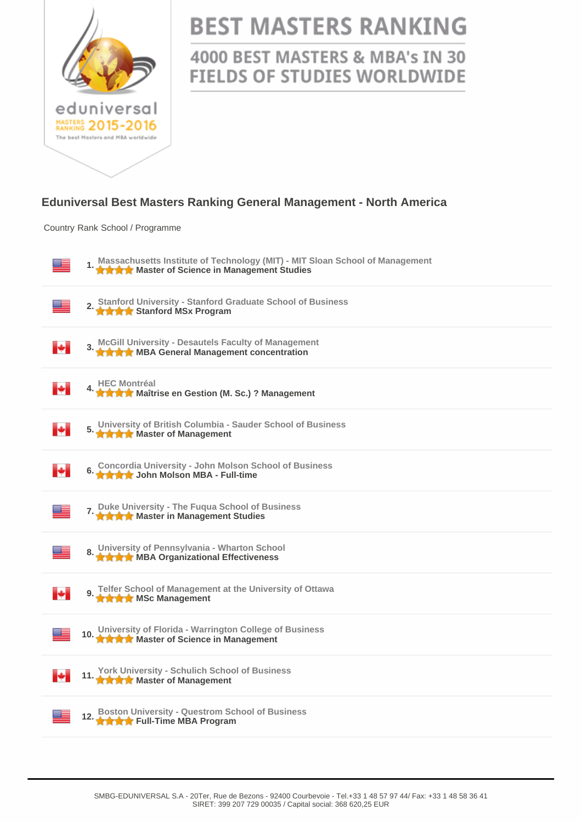

## **BEST MASTERS RANKING**

4000 BEST MASTERS & MBA's IN 30 **FIELDS OF STUDIES WORLDWIDE** 

## **Eduniversal Best Masters Ranking General Management - North America**

Country Rank School / Programme

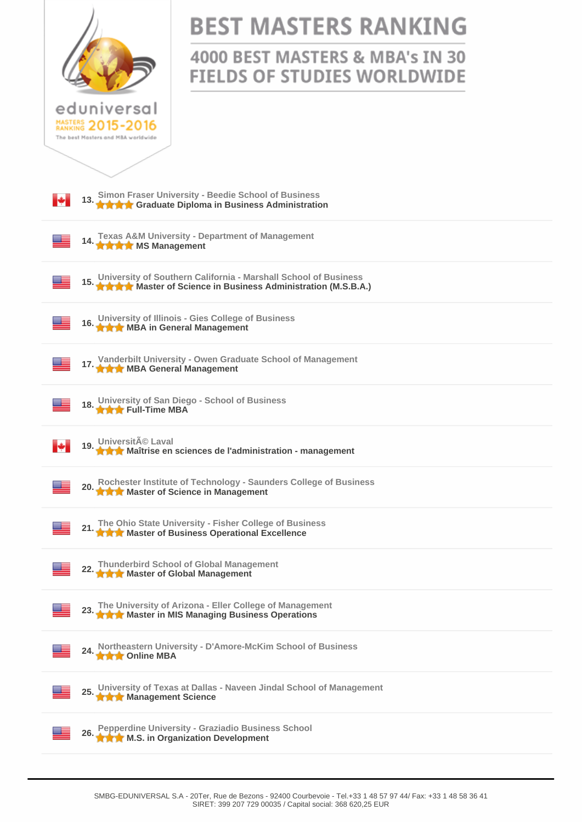|                                                                                                                                        | <b>BEST MASTERS RANKING</b>                                           |
|----------------------------------------------------------------------------------------------------------------------------------------|-----------------------------------------------------------------------|
|                                                                                                                                        | 4000 BEST MASTERS & MBA's IN 30<br><b>FIELDS OF STUDIES WORLDWIDE</b> |
| eduniversal<br>MASTERS 2015-2016<br>The best Masters and MBA worldwide                                                                 |                                                                       |
|                                                                                                                                        |                                                                       |
| 13. Simon Fraser University - Beedie School of Business<br>13. A A Graduate Diploma in Business Administration<br>м                    |                                                                       |
| 14. Texas A&M University - Department of Management<br>14. A A M MS Management                                                         |                                                                       |
| 15. University of Southern California - Marshall School of Business<br>15. A A Master of Science in Business Administration (M.S.B.A.) |                                                                       |
| 16. University of Illinois - Gies College of Business<br>16. A A MBA in General Management                                             |                                                                       |
| 17. Vanderbilt University - Owen Graduate School of Management                                                                         |                                                                       |
| University of San Diego - School of Business<br><b>THE FULL-TIME MBA</b>                                                               |                                                                       |
| 19. Université Laval<br>19. A A Maîtrise en sciences de l'administration - management                                                  |                                                                       |
| Rochester Institute of Technology - Saunders College of Business<br>20. Routester motivate or Science in Management                    |                                                                       |
| 21. The Ohio State University - Fisher College of Business<br>21. A A Master of Business Operational Excellence                        |                                                                       |
| 22. Thunderbird School of Global Management<br>A Master of Global Management                                                           |                                                                       |
| 23. The University of Arizona - Eller College of Management<br>23. A A Master in MIS Managing Business Operations                      |                                                                       |
| 24. Northeastern University - D'Amore-McKim School of Business<br>24. A Conline MBA                                                    |                                                                       |
| University of Texas at Dallas - Naveen Jindal School of Management<br>25. Williams only with the Science                               |                                                                       |
| 26. Pepperdine University - Graziadio Business School<br>26. A A M.S. in Organization Development                                      |                                                                       |